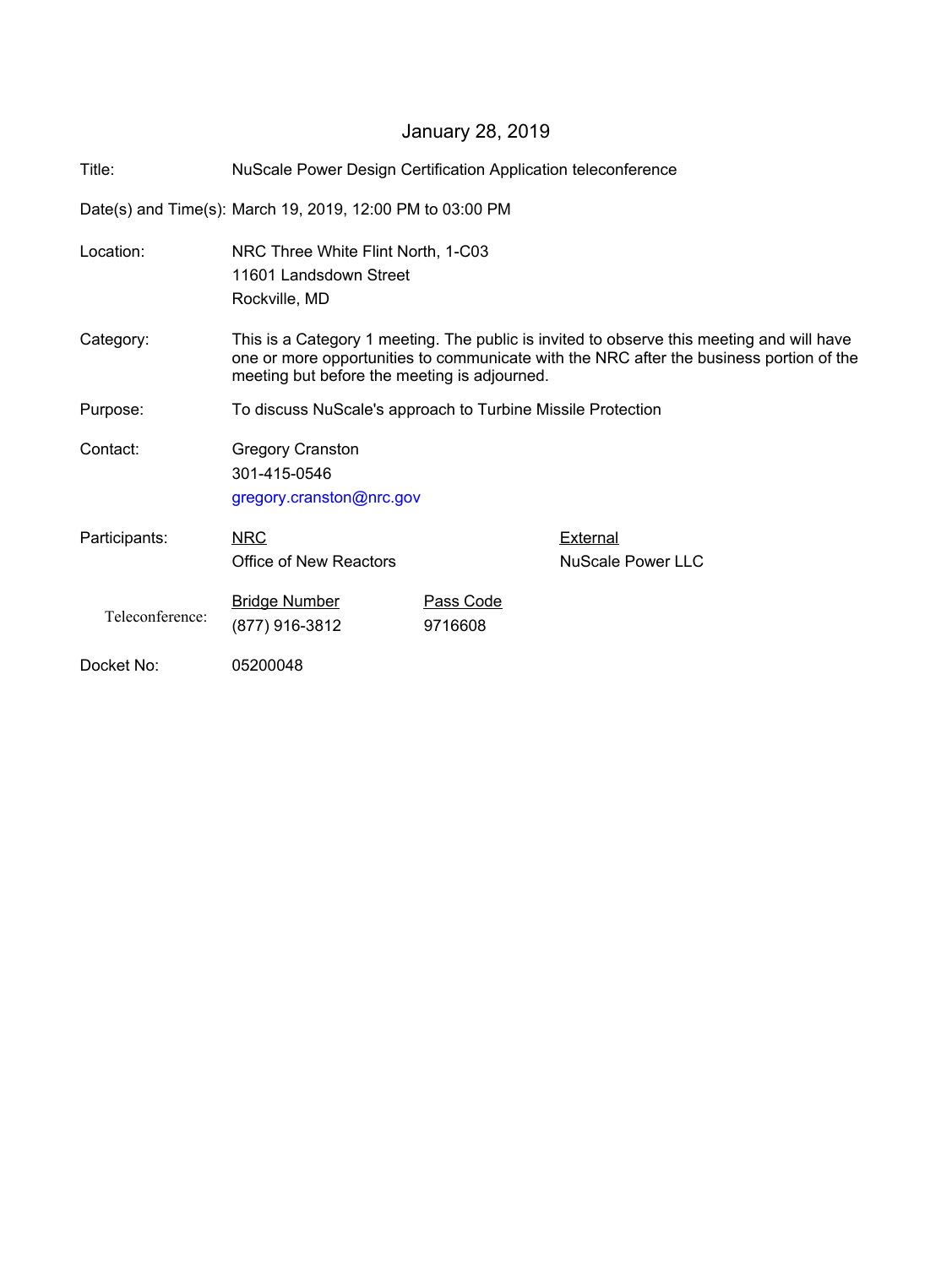## January 28, 2019

| Title:          | NuScale Power Design Certification Application teleconference                                                                                                                                                                        |                      |                               |
|-----------------|--------------------------------------------------------------------------------------------------------------------------------------------------------------------------------------------------------------------------------------|----------------------|-------------------------------|
|                 | Date(s) and Time(s): March 19, 2019, 12:00 PM to 03:00 PM                                                                                                                                                                            |                      |                               |
| Location:       | NRC Three White Flint North, 1-C03<br>11601 Landsdown Street<br>Rockville, MD                                                                                                                                                        |                      |                               |
| Category:       | This is a Category 1 meeting. The public is invited to observe this meeting and will have<br>one or more opportunities to communicate with the NRC after the business portion of the<br>meeting but before the meeting is adjourned. |                      |                               |
| Purpose:        | To discuss NuScale's approach to Turbine Missile Protection                                                                                                                                                                          |                      |                               |
| Contact:        | <b>Gregory Cranston</b><br>301-415-0546<br>gregory.cranston@nrc.gov                                                                                                                                                                  |                      |                               |
| Participants:   | <b>NRC</b><br>Office of New Reactors                                                                                                                                                                                                 |                      | External<br>NuScale Power LLC |
| Teleconference: | <b>Bridge Number</b><br>(877) 916-3812                                                                                                                                                                                               | Pass Code<br>9716608 |                               |
| Docket No:      | 05200048                                                                                                                                                                                                                             |                      |                               |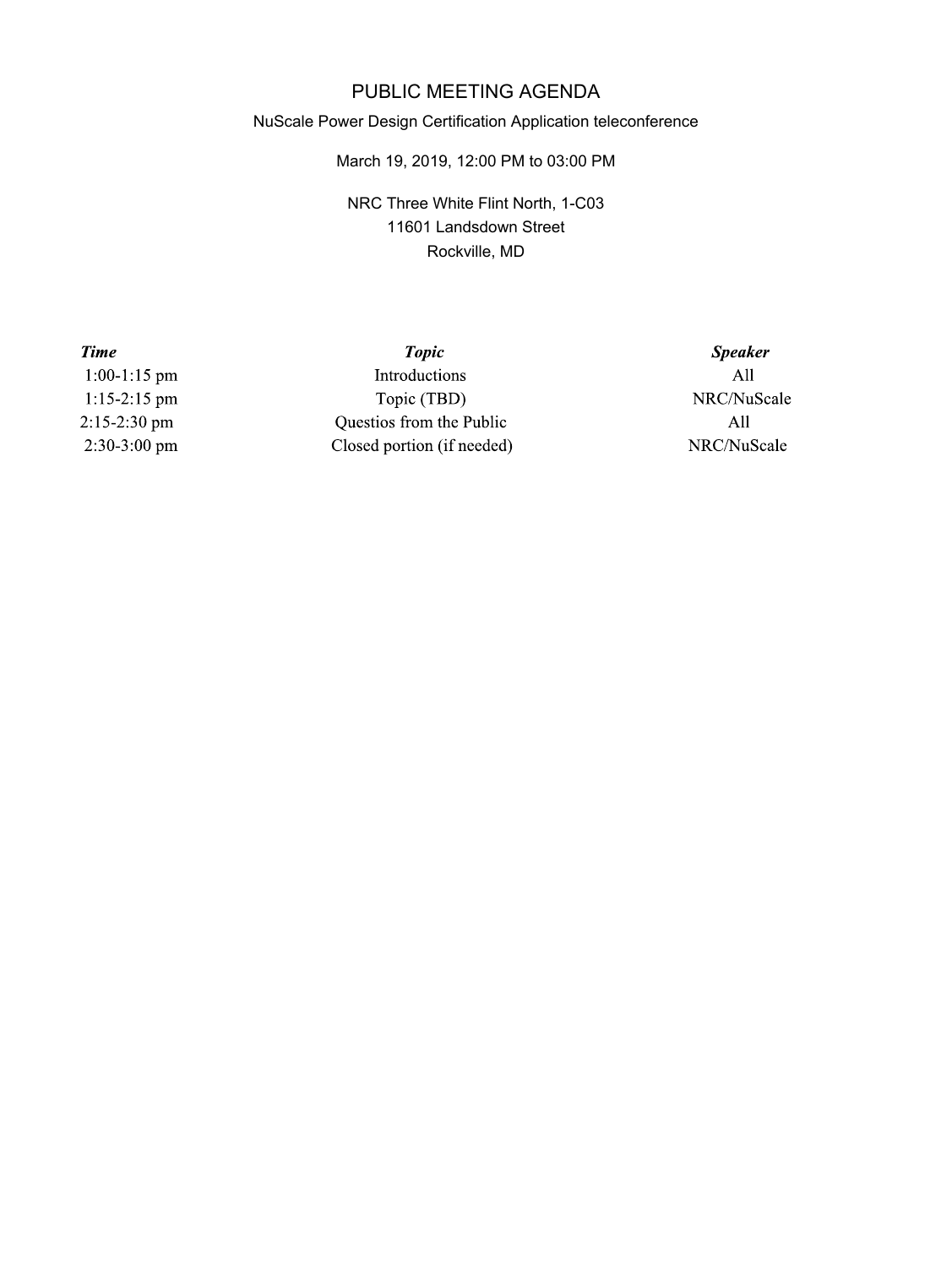## PUBLIC MEETING AGENDA

## NuScale Power Design Certification Application teleconference

March 19, 2019, 12:00 PM to 03:00 PM

NRC Three White Flint North, 1-C03 11601 Landsdown Street Rockville, MD

> **Speaker**  $All$ NRC/NuScale All NRC/NuScale

 $1:00-1:15$  pm  $1:15-2:15$  pm 2:15-2:30 pm 2:30-3:00 pm

**Time** 

**Topic** Introductions Topic (TBD) Questios from the Public Closed portion (if needed)